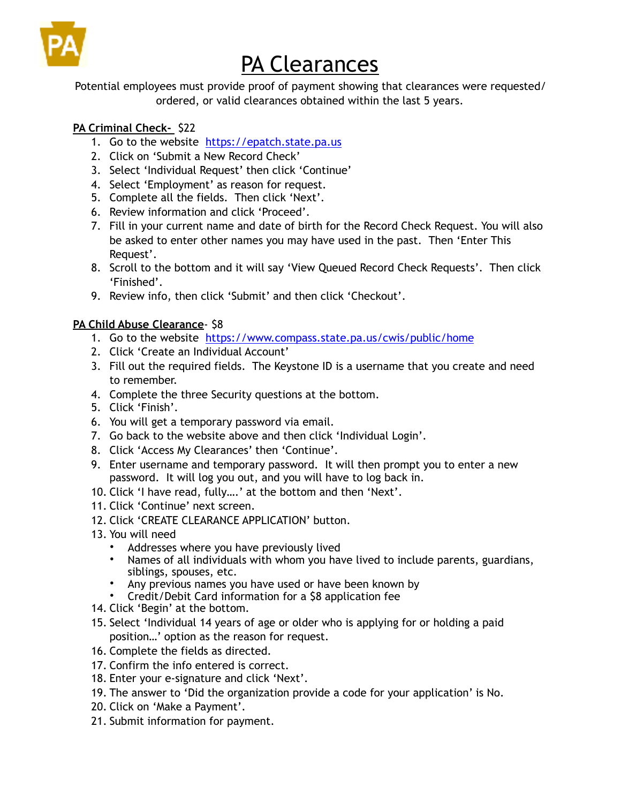

## PA Clearances

Potential employees must provide proof of payment showing that clearances were requested/ ordered, or valid clearances obtained within the last 5 years.

## **PA Criminal Check-** \$22

- 1. Go to the website <https://epatch.state.pa.us>
- 2. Click on 'Submit a New Record Check'
- 3. Select 'Individual Request' then click 'Continue'
- 4. Select 'Employment' as reason for request.
- 5. Complete all the fields. Then click 'Next'.
- 6. Review information and click 'Proceed'.
- 7. Fill in your current name and date of birth for the Record Check Request. You will also be asked to enter other names you may have used in the past. Then 'Enter This Request'.
- 8. Scroll to the bottom and it will say 'View Queued Record Check Requests'. Then click 'Finished'.
- 9. Review info, then click 'Submit' and then click 'Checkout'.

## **PA Child Abuse Clearance**- \$8

- 1. Go to the website <https://www.compass.state.pa.us/cwis/public/home>
- 2. Click 'Create an Individual Account'
- 3. Fill out the required fields. The Keystone ID is a username that you create and need to remember.
- 4. Complete the three Security questions at the bottom.
- 5. Click 'Finish'.
- 6. You will get a temporary password via email.
- 7. Go back to the website above and then click 'Individual Login'.
- 8. Click 'Access My Clearances' then 'Continue'.
- 9. Enter username and temporary password. It will then prompt you to enter a new password. It will log you out, and you will have to log back in.
- 10. Click 'I have read, fully….' at the bottom and then 'Next'.
- 11. Click 'Continue' next screen.
- 12. Click 'CREATE CLEARANCE APPLICATION' button.
- 13. You will need
	- Addresses where you have previously lived
	- Names of all individuals with whom you have lived to include parents, guardians, siblings, spouses, etc.
	- Any previous names you have used or have been known by
	- Credit/Debit Card information for a \$8 application fee
- 14. Click 'Begin' at the bottom.
- 15. Select 'Individual 14 years of age or older who is applying for or holding a paid position…' option as the reason for request.
- 16. Complete the fields as directed.
- 17. Confirm the info entered is correct.
- 18. Enter your e-signature and click 'Next'.
- 19. The answer to 'Did the organization provide a code for your application' is No.
- 20. Click on 'Make a Payment'.
- 21. Submit information for payment.